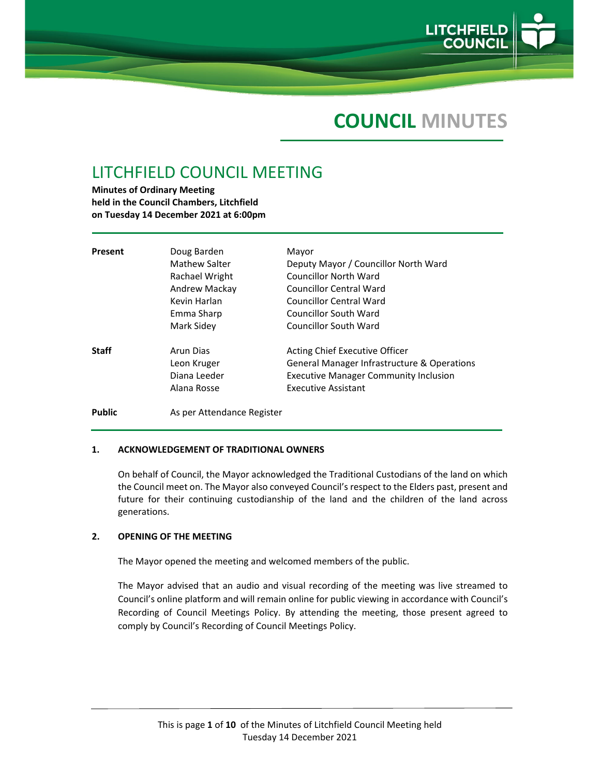

# **COUNCIL MINUTES**

## LITCHFIELD COUNCIL MEETING

**Minutes of Ordinary Meeting held in the Council Chambers, Litchfield on Tuesday 14 December 2021 at 6:00pm**

| Present       | Doug Barden<br>Mathew Salter<br>Rachael Wright<br>Andrew Mackay<br>Kevin Harlan<br>Emma Sharp<br>Mark Sidey | Mayor<br>Deputy Mayor / Councillor North Ward<br>Councillor North Ward<br>Councillor Central Ward<br><b>Councillor Central Ward</b><br><b>Councillor South Ward</b><br>Councillor South Ward |
|---------------|-------------------------------------------------------------------------------------------------------------|----------------------------------------------------------------------------------------------------------------------------------------------------------------------------------------------|
| <b>Staff</b>  | Arun Dias<br>Leon Kruger<br>Diana Leeder<br>Alana Rosse                                                     | Acting Chief Executive Officer<br>General Manager Infrastructure & Operations<br><b>Executive Manager Community Inclusion</b><br><b>Executive Assistant</b>                                  |
| <b>Public</b> | As per Attendance Register                                                                                  |                                                                                                                                                                                              |

## **1. ACKNOWLEDGEMENT OF TRADITIONAL OWNERS**

On behalf of Council, the Mayor acknowledged the Traditional Custodians of the land on which the Council meet on. The Mayor also conveyed Council's respect to the Elders past, present and future for their continuing custodianship of the land and the children of the land across generations.

## **2. OPENING OF THE MEETING**

The Mayor opened the meeting and welcomed members of the public.

The Mayor advised that an audio and visual recording of the meeting was live streamed to Council's online platform and will remain online for public viewing in accordance with Council's Recording of Council Meetings Policy. By attending the meeting, those present agreed to comply by Council's Recording of Council Meetings Policy.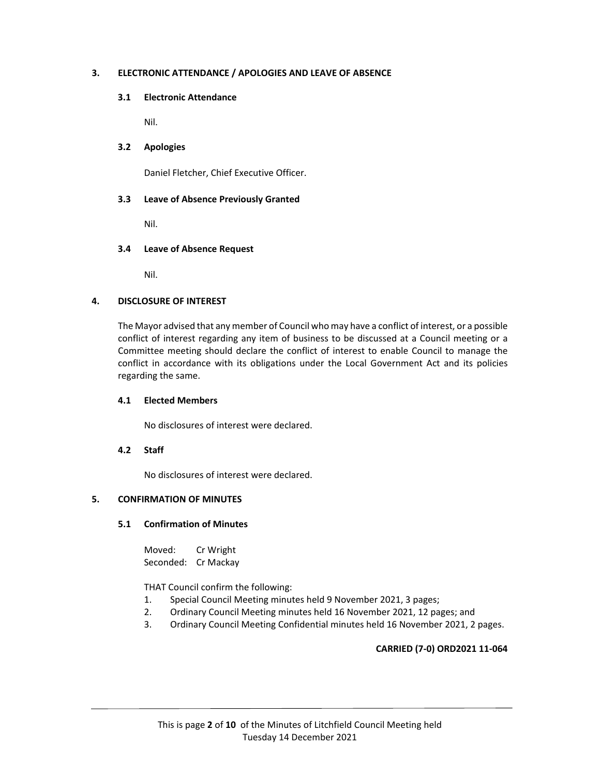## **3. ELECTRONIC ATTENDANCE / APOLOGIES AND LEAVE OF ABSENCE**

## **3.1 Electronic Attendance**

Nil.

### **3.2 Apologies**

Daniel Fletcher, Chief Executive Officer.

#### **3.3 Leave of Absence Previously Granted**

Nil.

#### **3.4 Leave of Absence Request**

Nil.

## **4. DISCLOSURE OF INTEREST**

The Mayor advised that any member of Council who may have a conflict of interest, or a possible conflict of interest regarding any item of business to be discussed at a Council meeting or a Committee meeting should declare the conflict of interest to enable Council to manage the conflict in accordance with its obligations under the Local Government Act and its policies regarding the same.

#### **4.1 Elected Members**

No disclosures of interest were declared.

#### **4.2 Staff**

No disclosures of interest were declared.

#### **5. CONFIRMATION OF MINUTES**

#### **5.1 Confirmation of Minutes**

Moved: Cr Wright Seconded: Cr Mackay

THAT Council confirm the following:

- 1. Special Council Meeting minutes held 9 November 2021, 3 pages;
- 2. Ordinary Council Meeting minutes held 16 November 2021, 12 pages; and
- 3. Ordinary Council Meeting Confidential minutes held 16 November 2021, 2 pages.

## **CARRIED (7‐0) ORD2021 11‐064**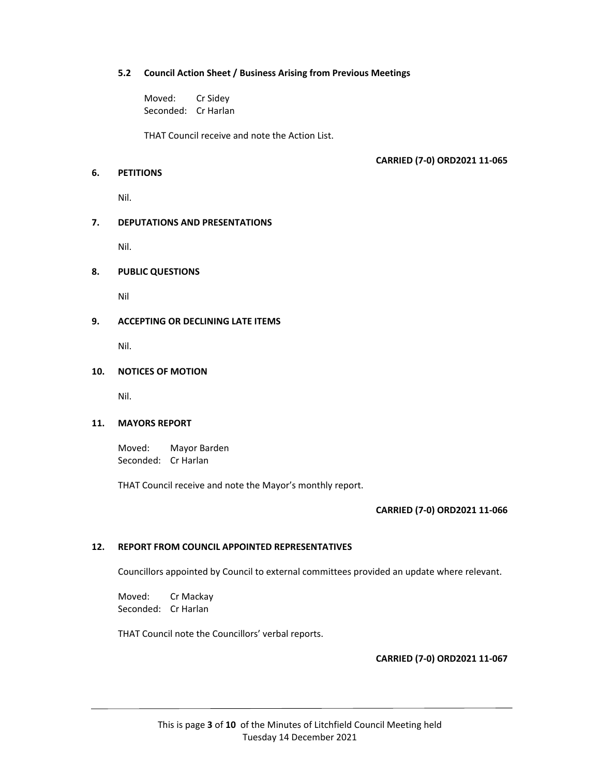## **5.2 Council Action Sheet / Business Arising from Previous Meetings**

Moved: Cr Sidey Seconded: Cr Harlan

THAT Council receive and note the Action List.

## **CARRIED (7‐0) ORD2021 11‐065**

## **6. PETITIONS**

Nil.

## **7. DEPUTATIONS AND PRESENTATIONS**

Nil.

## **8. PUBLIC QUESTIONS**

Nil

## **9. ACCEPTING OR DECLINING LATE ITEMS**

Nil.

## **10. NOTICES OF MOTION**

Nil.

## **11. MAYORS REPORT**

Moved: Mayor Barden Seconded: Cr Harlan

THAT Council receive and note the Mayor's monthly report.

## **CARRIED (7‐0) ORD2021 11‐066**

## **12. REPORT FROM COUNCIL APPOINTED REPRESENTATIVES**

Councillors appointed by Council to external committees provided an update where relevant.

Moved: Cr Mackay Seconded: Cr Harlan

THAT Council note the Councillors' verbal reports.

**CARRIED (7‐0) ORD2021 11‐067**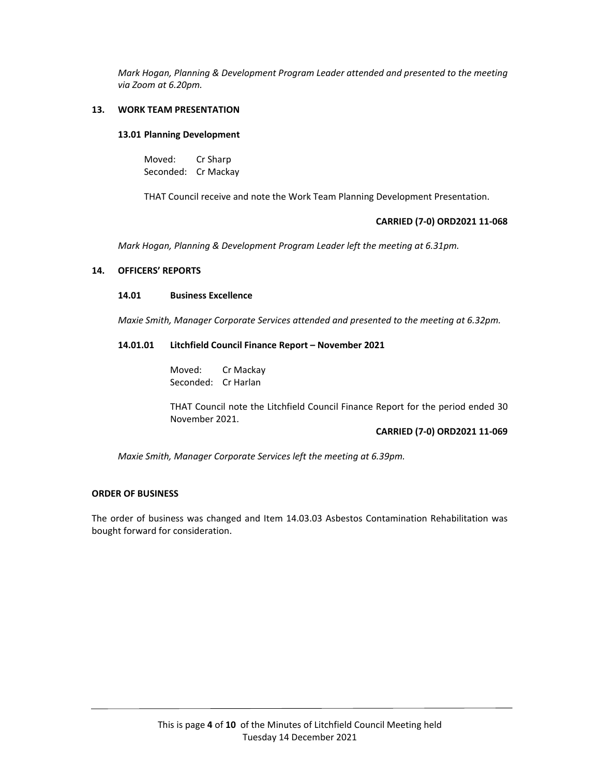*Mark Hogan, Planning & Development Program Leader attended and presented to the meeting via Zoom at 6.20pm.*

## **13. WORK TEAM PRESENTATION**

#### **13.01 Planning Development**

Moved: Cr Sharp Seconded: Cr Mackay

THAT Council receive and note the Work Team Planning Development Presentation.

#### **CARRIED (7‐0) ORD2021 11‐068**

*Mark Hogan, Planning & Development Program Leader left the meeting at 6.31pm.*

## **14. OFFICERS' REPORTS**

#### **14.01 Business Excellence**

*Maxie Smith, Manager Corporate Services attended and presented to the meeting at 6.32pm.*

## **14.01.01 Litchfield Council Finance Report – November 2021**

Moved: Cr Mackay Seconded: Cr Harlan

THAT Council note the Litchfield Council Finance Report for the period ended 30 November 2021.

#### **CARRIED (7‐0) ORD2021 11‐069**

*Maxie Smith, Manager Corporate Services left the meeting at 6.39pm.*

## **ORDER OF BUSINESS**

The order of business was changed and Item 14.03.03 Asbestos Contamination Rehabilitation was bought forward for consideration.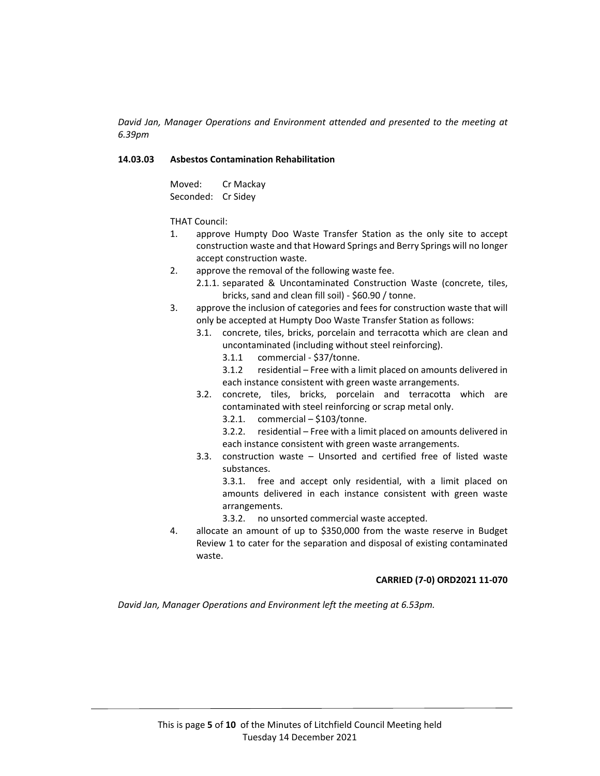*David Jan, Manager Operations and Environment attended and presented to the meeting at 6.39pm*

## **14.03.03 Asbestos Contamination Rehabilitation**

Moved: Cr Mackay Seconded: Cr Sidey

THAT Council:

- 1. approve Humpty Doo Waste Transfer Station as the only site to accept construction waste and that Howard Springs and Berry Springs will no longer accept construction waste.
- 2. approve the removal of the following waste fee.
	- 2.1.1. separated & Uncontaminated Construction Waste (concrete, tiles, bricks, sand and clean fill soil) ‐ \$60.90 / tonne.
- 3. approve the inclusion of categories and fees for construction waste that will only be accepted at Humpty Doo Waste Transfer Station as follows:
	- 3.1. concrete, tiles, bricks, porcelain and terracotta which are clean and uncontaminated (including without steel reinforcing).
		- 3.1.1 commercial ‐ \$37/tonne.
		- 3.1.2 residential Free with a limit placed on amounts delivered in each instance consistent with green waste arrangements.
	- 3.2. concrete, tiles, bricks, porcelain and terracotta which are contaminated with steel reinforcing or scrap metal only.
		- 3.2.1. commercial \$103/tonne.

3.2.2. residential – Free with a limit placed on amounts delivered in each instance consistent with green waste arrangements.

3.3. construction waste – Unsorted and certified free of listed waste substances.

3.3.1. free and accept only residential, with a limit placed on amounts delivered in each instance consistent with green waste arrangements.

- 3.3.2. no unsorted commercial waste accepted.
- 4. allocate an amount of up to \$350,000 from the waste reserve in Budget Review 1 to cater for the separation and disposal of existing contaminated waste.

## **CARRIED (7‐0) ORD2021 11‐070**

*David Jan, Manager Operations and Environment left the meeting at 6.53pm.*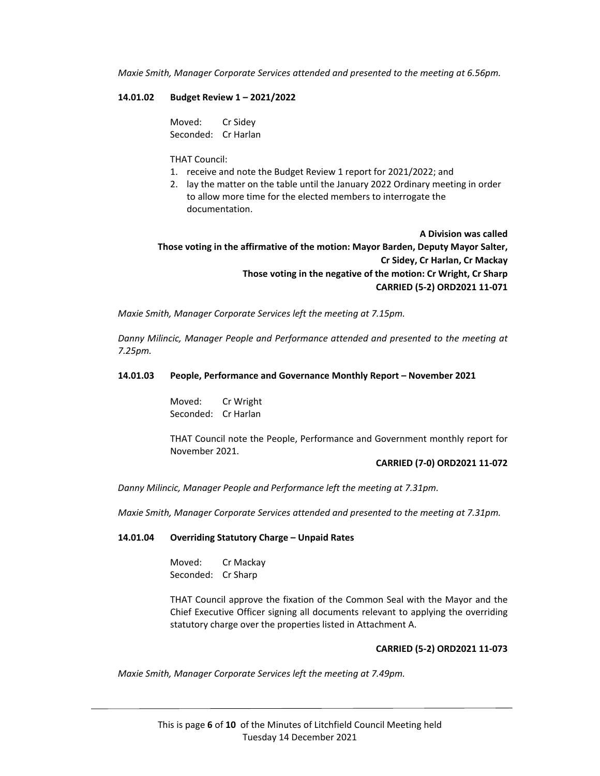*Maxie Smith, Manager Corporate Services attended and presented to the meeting at 6.56pm.*

#### **14.01.02 Budget Review 1 – 2021/2022**

Moved: Cr Sidey Seconded: Cr Harlan

#### THAT Council:

- 1. receive and note the Budget Review 1 report for 2021/2022; and
- 2. lay the matter on the table until the January 2022 Ordinary meeting in order to allow more time for the elected members to interrogate the documentation.

**A Division was called Those voting in the affirmative of the motion: Mayor Barden, Deputy Mayor Salter, Cr Sidey, Cr Harlan, Cr Mackay Those voting in the negative of the motion: Cr Wright, Cr Sharp CARRIED (5‐2) ORD2021 11‐071**

*Maxie Smith, Manager Corporate Services left the meeting at 7.15pm.*

*Danny Milincic, Manager People and Performance attended and presented to the meeting at 7.25pm.*

### **14.01.03 People, Performance and Governance Monthly Report – November 2021**

Moved: Cr Wright Seconded: Cr Harlan

THAT Council note the People, Performance and Government monthly report for November 2021.

#### **CARRIED (7‐0) ORD2021 11‐072**

*Danny Milincic, Manager People and Performance left the meeting at 7.31pm.*

*Maxie Smith, Manager Corporate Services attended and presented to the meeting at 7.31pm.*

#### **14.01.04 Overriding Statutory Charge – Unpaid Rates**

Moved: Cr Mackay Seconded: Cr Sharp

THAT Council approve the fixation of the Common Seal with the Mayor and the Chief Executive Officer signing all documents relevant to applying the overriding statutory charge over the properties listed in Attachment A.

## **CARRIED (5‐2) ORD2021 11‐073**

*Maxie Smith, Manager Corporate Services left the meeting at 7.49pm.*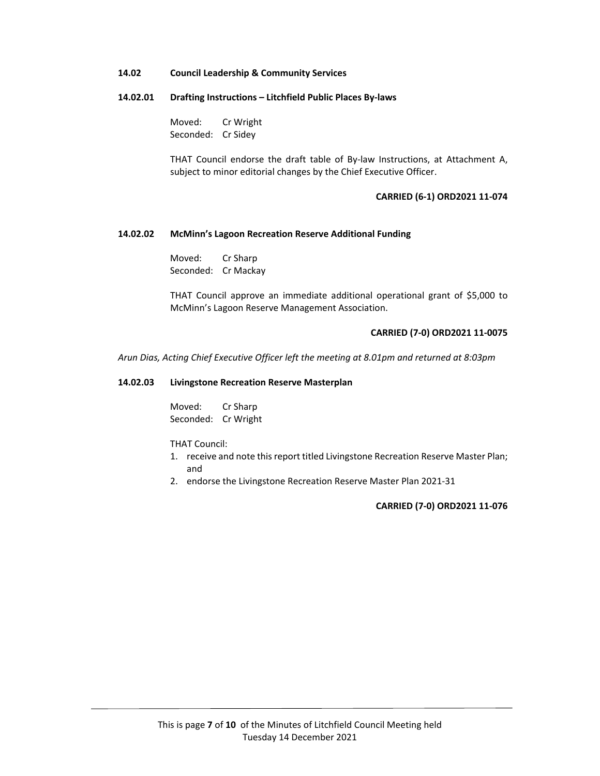#### **14.02 Council Leadership & Community Services**

## **14.02.01 Drafting Instructions – Litchfield Public Places By‐laws**

Moved: Cr Wright Seconded: Cr Sidey

THAT Council endorse the draft table of By‐law Instructions, at Attachment A, subject to minor editorial changes by the Chief Executive Officer.

#### **CARRIED (6‐1) ORD2021 11‐074**

#### **14.02.02 McMinn's Lagoon Recreation Reserve Additional Funding**

Moved: Cr Sharp Seconded: Cr Mackay

THAT Council approve an immediate additional operational grant of \$5,000 to McMinn's Lagoon Reserve Management Association.

#### **CARRIED (7‐0) ORD2021 11‐0075**

*Arun Dias, Acting Chief Executive Officer left the meeting at 8.01pm and returned at 8:03pm*

#### **14.02.03 Livingstone Recreation Reserve Masterplan**

Moved: Cr Sharp Seconded: Cr Wright

THAT Council:

- 1. receive and note this report titled Livingstone Recreation Reserve Master Plan; and
- 2. endorse the Livingstone Recreation Reserve Master Plan 2021‐31

**CARRIED (7‐0) ORD2021 11‐076**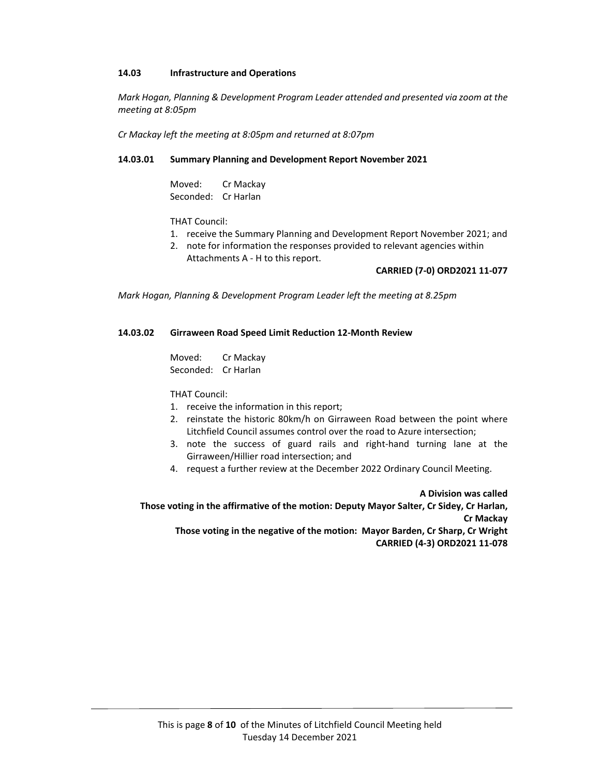## **14.03 Infrastructure and Operations**

*Mark Hogan, Planning & Development Program Leader attended and presented via zoom at the meeting at 8:05pm*

*Cr Mackay left the meeting at 8:05pm and returned at 8:07pm*

## **14.03.01 Summary Planning and Development Report November 2021**

Moved: Cr Mackay Seconded: Cr Harlan

THAT Council:

- 1. receive the Summary Planning and Development Report November 2021; and
- 2. note for information the responses provided to relevant agencies within Attachments A ‐ H to this report.

## **CARRIED (7‐0) ORD2021 11‐077**

*Mark Hogan, Planning & Development Program Leader left the meeting at 8.25pm*

## **14.03.02 Girraween Road Speed Limit Reduction 12‐Month Review**

Moved: Cr Mackay Seconded: Cr Harlan

THAT Council:

- 1. receive the information in this report;
- 2. reinstate the historic 80km/h on Girraween Road between the point where Litchfield Council assumes control over the road to Azure intersection;
- 3. note the success of guard rails and right‐hand turning lane at the Girraween/Hillier road intersection; and
- 4. request a further review at the December 2022 Ordinary Council Meeting.

**A Division was called**

**Those voting in the affirmative of the motion: Deputy Mayor Salter, Cr Sidey, Cr Harlan, Cr Mackay Those voting in the negative of the motion: Mayor Barden, Cr Sharp, Cr Wright CARRIED (4‐3) ORD2021 11‐078**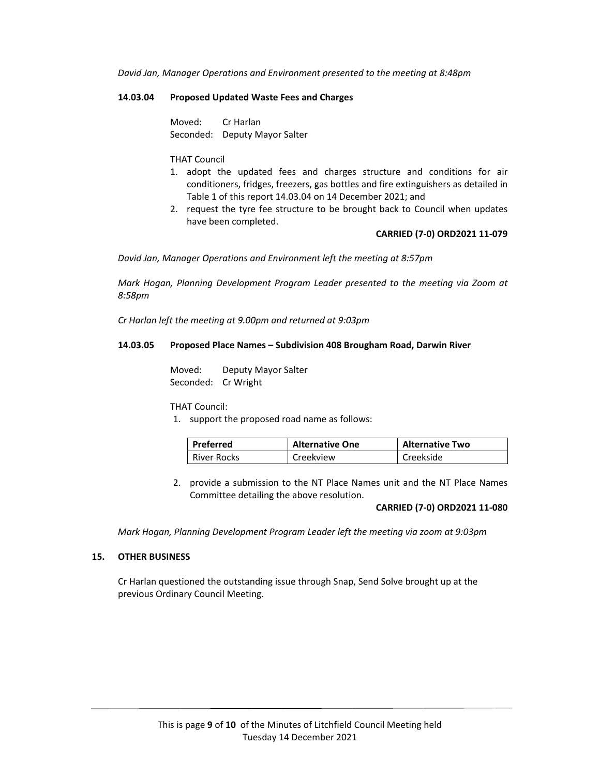*David Jan, Manager Operations and Environment presented to the meeting at 8:48pm*

#### **14.03.04 Proposed Updated Waste Fees and Charges**

Moved: Cr Harlan Seconded: Deputy Mayor Salter

#### THAT Council

- 1. adopt the updated fees and charges structure and conditions for air conditioners, fridges, freezers, gas bottles and fire extinguishers as detailed in Table 1 of this report 14.03.04 on 14 December 2021; and
- 2. request the tyre fee structure to be brought back to Council when updates have been completed.

#### **CARRIED (7‐0) ORD2021 11‐079**

*David Jan, Manager Operations and Environment left the meeting at 8:57pm*

*Mark Hogan, Planning Development Program Leader presented to the meeting via Zoom at 8:58pm*

*Cr Harlan left the meeting at 9.00pm and returned at 9:03pm*

#### **14.03.05 Proposed Place Names – Subdivision 408 Brougham Road, Darwin River**

Moved: Deputy Mayor Salter Seconded: Cr Wright

THAT Council:

1. support the proposed road name as follows:

| Preferred          | <b>Alternative One</b> | <b>Alternative Two</b> |
|--------------------|------------------------|------------------------|
| <b>River Rocks</b> | Creekview              | Creekside              |

2. provide a submission to the NT Place Names unit and the NT Place Names Committee detailing the above resolution.

#### **CARRIED (7‐0) ORD2021 11‐080**

*Mark Hogan, Planning Development Program Leader left the meeting via zoom at 9:03pm*

#### **15. OTHER BUSINESS**

Cr Harlan questioned the outstanding issue through Snap, Send Solve brought up at the previous Ordinary Council Meeting.